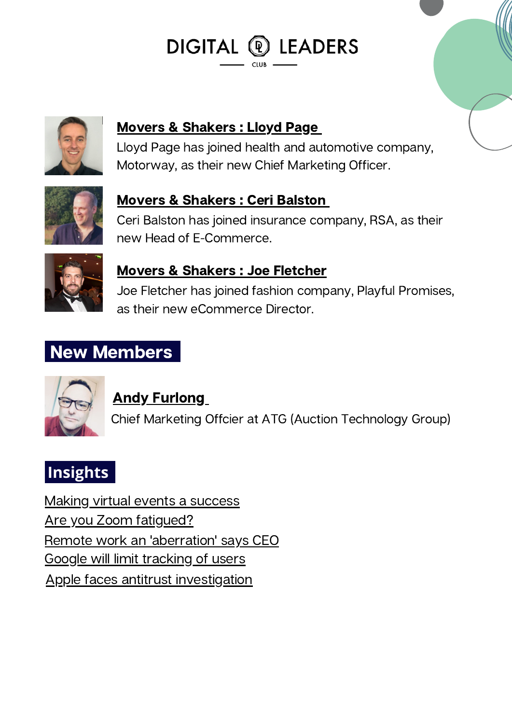DIGITAL <sup>®</sup> LEADERS



Movers & [Shakers](https://www.linkedin.com/in/lloydpage/) : Lloyd Pag[e](https://www.linkedin.com/in/lloydpage/)

Lloyd Page has joined health and automotive company, Motorway, as their new Chief Marketing Officer.



### Movers & [Shakers](https://www.linkedin.com/in/ceribalston/?originalSubdomain=uk) : Ceri Balston

Ceri Balston has joined insurance company, RSA, as their new Head of E-Commerce.



#### Movers & [Shakers](https://www.linkedin.com/in/joefletcher1/?originalSubdomain=uk) : Joe Fletcher

Joe Fletcher has joined fashion company, Playful Promises, as their new eCommerce Director.

# New Members



### Andy [Furlong](https://www.linkedin.com/in/andyfurlong/?originalSubdomain=uk)

Chief Marketing Offcier at ATG (Auction Technology Group)

# **Insights**

Making virtual events a [success](https://www.linkedin.com/news/story/making-virtual-events-a-success-5014948/) Are you Zoom [fatigued?](https://www.linkedin.com/news/story/reasons-why-were-zoom-fatigued-4332121/) Remote work an ['aberration'](https://www.linkedin.com/news/story/remote-work-an-aberration-says-ceo-5369506/) says CEO Google will limit [tracking](https://www.linkedin.com/news/story/google-will-limit-tracking-of-users-5380266/) of users Apple faces antitrust [investigation](https://www.linkedin.com/news/story/apple-faces-antitrust-investigation-4334305/)